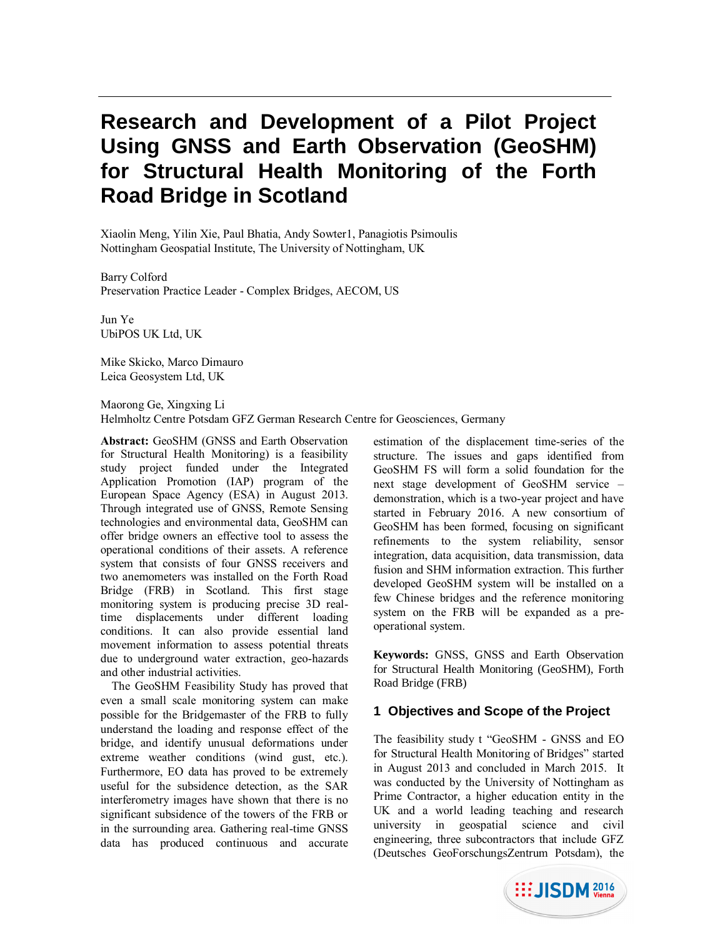# **Research and Development of a Pilot Project Using GNSS and Earth Observation (GeoSHM) for Structural Health Monitoring of the Forth Road Bridge in Scotland**

Xiaolin Meng, Yilin Xie, Paul Bhatia, Andy Sowter1, Panagiotis Psimoulis Nottingham Geospatial Institute, The University of Nottingham, UK

Barry Colford Preservation Practice Leader - Complex Bridges, AECOM, US

Jun Ye UbiPOS UK Ltd, UK

Mike Skicko, Marco Dimauro Leica Geosystem Ltd, UK

Maorong Ge, Xingxing Li Helmholtz Centre Potsdam GFZ German Research Centre for Geosciences, Germany

**Abstract:** GeoSHM (GNSS and Earth Observation for Structural Health Monitoring) is a feasibility study project funded under the Integrated Application Promotion (IAP) program of the European Space Agency (ESA) in August 2013. Through integrated use of GNSS, Remote Sensing technologies and environmental data, GeoSHM can offer bridge owners an effective tool to assess the operational conditions of their assets. A reference system that consists of four GNSS receivers and two anemometers was installed on the Forth Road Bridge (FRB) in Scotland. This first stage monitoring system is producing precise 3D realtime displacements under different loading conditions. It can also provide essential land movement information to assess potential threats due to underground water extraction, geo-hazards and other industrial activities.

The GeoSHM Feasibility Study has proved that even a small scale monitoring system can make possible for the Bridgemaster of the FRB to fully understand the loading and response effect of the bridge, and identify unusual deformations under extreme weather conditions (wind gust, etc.). Furthermore, EO data has proved to be extremely useful for the subsidence detection, as the SAR interferometry images have shown that there is no significant subsidence of the towers of the FRB or in the surrounding area. Gathering real-time GNSS data has produced continuous and accurate

estimation of the displacement time-series of the structure. The issues and gaps identified from GeoSHM FS will form a solid foundation for the next stage development of GeoSHM service – demonstration, which is a two-year project and have started in February 2016. A new consortium of GeoSHM has been formed, focusing on significant refinements to the system reliability, sensor integration, data acquisition, data transmission, data fusion and SHM information extraction. This further developed GeoSHM system will be installed on a few Chinese bridges and the reference monitoring system on the FRB will be expanded as a preoperational system.

**Keywords:** GNSS, GNSS and Earth Observation for Structural Health Monitoring (GeoSHM), Forth Road Bridge (FRB)

## **1 Objectives and Scope of the Project**

The feasibility study t "GeoSHM - GNSS and EO for Structural Health Monitoring of Bridges" started in August 2013 and concluded in March 2015. It was conducted by the University of Nottingham as Prime Contractor, a higher education entity in the UK and a world leading teaching and research university in geospatial science and civil engineering, three subcontractors that include GFZ (Deutsches GeoForschungsZentrum Potsdam), the

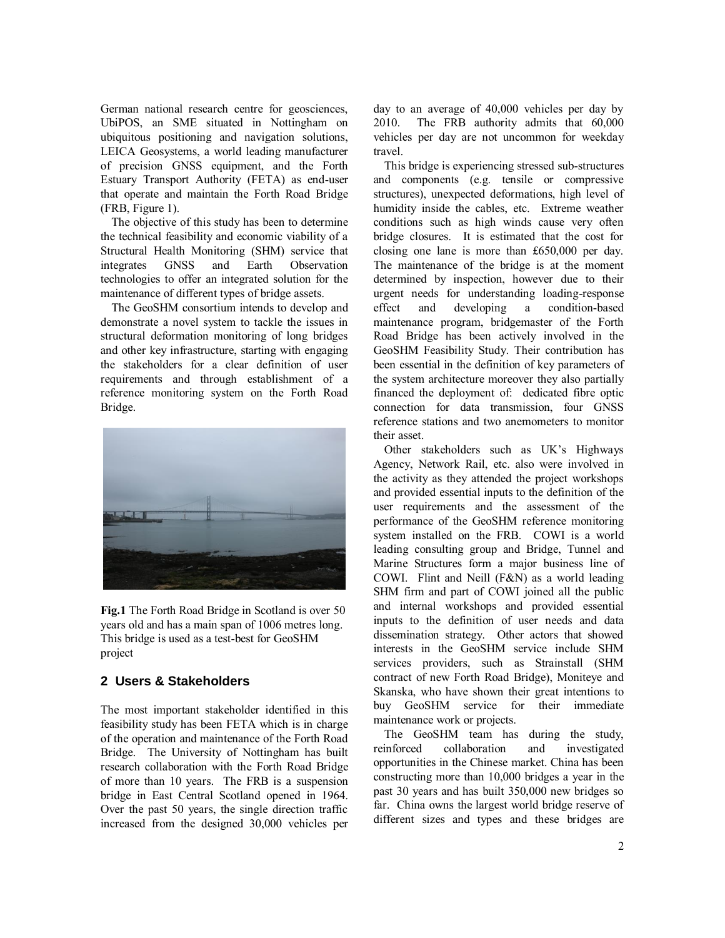German national research centre for geosciences, UbiPOS, an SME situated in Nottingham on ubiquitous positioning and navigation solutions, LEICA Geosystems, a world leading manufacturer of precision GNSS equipment, and the Forth Estuary Transport Authority (FETA) as end-user that operate and maintain the Forth Road Bridge (FRB, Figure 1).

The objective of this study has been to determine the technical feasibility and economic viability of a Structural Health Monitoring (SHM) service that integrates GNSS and Earth Observation technologies to offer an integrated solution for the maintenance of different types of bridge assets.

The GeoSHM consortium intends to develop and demonstrate a novel system to tackle the issues in structural deformation monitoring of long bridges and other key infrastructure, starting with engaging the stakeholders for a clear definition of user requirements and through establishment of a reference monitoring system on the Forth Road Bridge.



**Fig.1** The Forth Road Bridge in Scotland is over 50 years old and has a main span of 1006 metres long. This bridge is used as a test-best for GeoSHM project

## **2 Users & Stakeholders**

The most important stakeholder identified in this feasibility study has been FETA which is in charge of the operation and maintenance of the Forth Road Bridge. The University of Nottingham has built research collaboration with the Forth Road Bridge of more than 10 years. The FRB is a [suspension](http://en.wikipedia.org/wiki/Suspension_bridge)  [bridge](http://en.wikipedia.org/wiki/Suspension_bridge) in [East Central](http://en.wikipedia.org/wiki/Central_Belt) Scotland opened in 1964. Over the past 50 years, the single direction traffic increased from the designed 30,000 vehicles per

day to an average of 40,000 vehicles per day by 2010. The FRB authority admits that 60,000 vehicles per day are not uncommon for weekday travel.

This bridge is experiencing stressed sub-structures and components (e.g. tensile or compressive structures), unexpected deformations, high level of humidity inside the cables, etc. Extreme weather conditions such as high winds cause very often bridge closures. It is estimated that the cost for closing one lane is more than £650,000 per day. The maintenance of the bridge is at the moment determined by inspection, however due to their urgent needs for understanding loading-response effect and developing a condition-based maintenance program, bridgemaster of the Forth Road Bridge has been actively involved in the GeoSHM Feasibility Study. Their contribution has been essential in the definition of key parameters of the system architecture moreover they also partially financed the deployment of: dedicated fibre optic connection for data transmission, four GNSS reference stations and two anemometers to monitor their asset.

Other stakeholders such as UK's Highways Agency, Network Rail, etc. also were involved in the activity as they attended the project workshops and provided essential inputs to the definition of the user requirements and the assessment of the performance of the GeoSHM reference monitoring system installed on the FRB. COWI is a world leading consulting group and Bridge, Tunnel and Marine Structures form a major business line of COWI. Flint and Neill (F&N) as a world leading SHM firm and part of COWI joined all the public and internal workshops and provided essential inputs to the definition of user needs and data dissemination strategy. Other actors that showed interests in the GeoSHM service include SHM services providers, such as Strainstall (SHM contract of new Forth Road Bridge), Moniteye and Skanska, who have shown their great intentions to buy GeoSHM service for their immediate maintenance work or projects.

The GeoSHM team has during the study, reinforced collaboration and investigated opportunities in the Chinese market. China has been constructing more than 10,000 bridges a year in the past 30 years and has built 350,000 new bridges so far. China owns the largest world bridge reserve of different sizes and types and these bridges are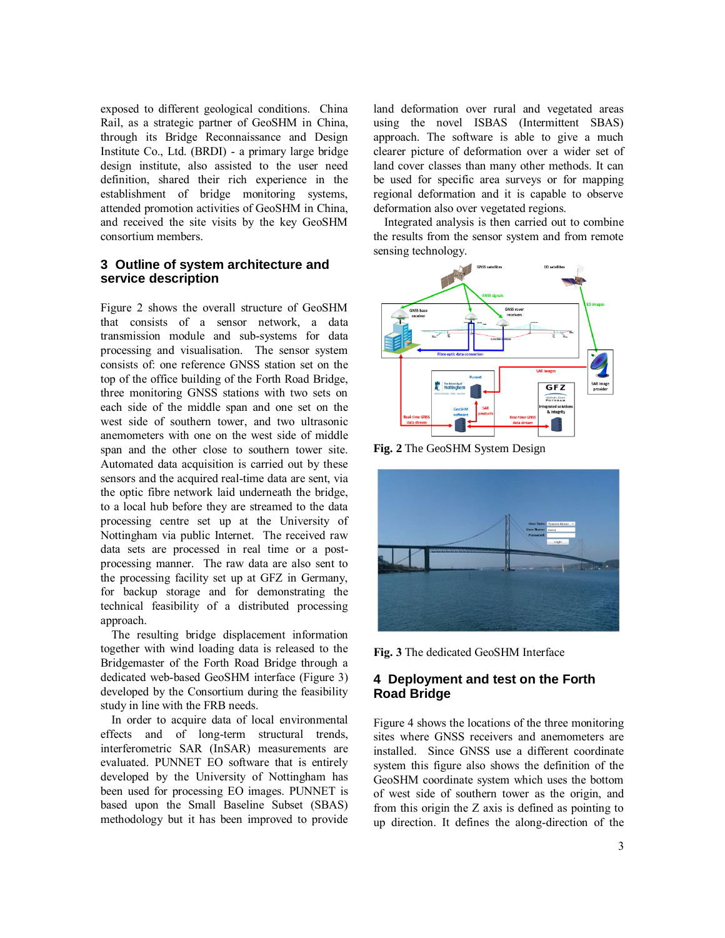exposed to different geological conditions. China Rail, as a strategic partner of GeoSHM in China, through its Bridge Reconnaissance and Design Institute Co., Ltd. (BRDI) - a primary large bridge design institute, also assisted to the user need definition, shared their rich experience in the establishment of bridge monitoring systems, attended promotion activities of GeoSHM in China, and received the site visits by the key GeoSHM consortium members.

### **3 Outline of system architecture and service description**

Figure 2 shows the overall structure of GeoSHM that consists of a sensor network, a data transmission module and sub-systems for data processing and visualisation. The sensor system consists of: one reference GNSS station set on the top of the office building of the Forth Road Bridge, three monitoring GNSS stations with two sets on each side of the middle span and one set on the west side of southern tower, and two ultrasonic anemometers with one on the west side of middle span and the other close to southern tower site. Automated data acquisition is carried out by these sensors and the acquired real-time data are sent, via the optic fibre network laid underneath the bridge, to a local hub before they are streamed to the data processing centre set up at the University of Nottingham via public Internet. The received raw data sets are processed in real time or a postprocessing manner. The raw data are also sent to the processing facility set up at GFZ in Germany, for backup storage and for demonstrating the technical feasibility of a distributed processing approach.

The resulting bridge displacement information together with wind loading data is released to the Bridgemaster of the Forth Road Bridge through a dedicated web-based GeoSHM interface (Figure 3) developed by the Consortium during the feasibility study in line with the FRB needs.

In order to acquire data of local environmental effects and of long-term structural trends, interferometric SAR (InSAR) measurements are evaluated. PUNNET EO software that is entirely developed by the University of Nottingham has been used for processing EO images. PUNNET is based upon the Small Baseline Subset (SBAS) methodology but it has been improved to provide land deformation over rural and vegetated areas using the novel ISBAS (Intermittent SBAS) approach. The software is able to give a much clearer picture of deformation over a wider set of land cover classes than many other methods. It can be used for specific area surveys or for mapping regional deformation and it is capable to observe deformation also over vegetated regions.

Integrated analysis is then carried out to combine the results from the sensor system and from remote sensing technology.



**Fig. 2** The GeoSHM System Design



**Fig. 3** The dedicated GeoSHM Interface

## **4 Deployment and test on the Forth Road Bridge**

Figure 4 shows the locations of the three monitoring sites where GNSS receivers and anemometers are installed. Since GNSS use a different coordinate system this figure also shows the definition of the GeoSHM coordinate system which uses the bottom of west side of southern tower as the origin, and from this origin the Z axis is defined as pointing to up direction. It defines the along-direction of the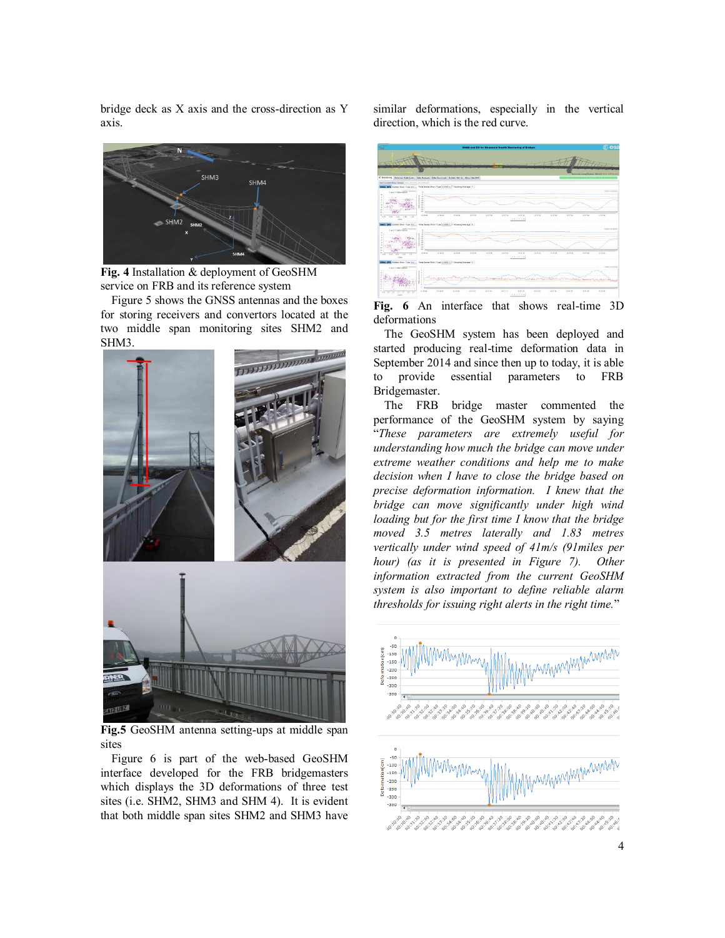bridge deck as X axis and the cross-direction as Y axis.



**Fig. 4** Installation & deployment of GeoSHM service on FRB and its reference system

Figure 5 shows the GNSS antennas and the boxes for storing receivers and convertors located at the two middle span monitoring sites SHM2 and SHM3.



**Fig.5** GeoSHM antenna setting-ups at middle span sites

Figure 6 is part of the web-based GeoSHM interface developed for the FRB bridgemasters which displays the 3D deformations of three test sites (i.e. SHM2, SHM3 and SHM 4). It is evident that both middle span sites SHM2 and SHM3 have

similar deformations, especially in the vertical direction, which is the red curve.



**Fig. 6** An interface that shows real-time 3D deformations

The GeoSHM system has been deployed and started producing real-time deformation data in September 2014 and since then up to today, it is able to provide essential parameters to FRB Bridgemaster.

The FRB bridge master commented the performance of the GeoSHM system by saying "*These parameters are extremely useful for understanding how much the bridge can move under extreme weather conditions and help me to make decision when I have to close the bridge based on precise deformation information. I knew that the bridge can move significantly under high wind loading but for the first time I know that the bridge moved 3.5 metres laterally and 1.83 metres vertically under wind speed of 41m/s (91miles per hour) (as it is presented in Figure 7). Other information extracted from the current GeoSHM system is also important to define reliable alarm thresholds for issuing right alerts in the right time.*"

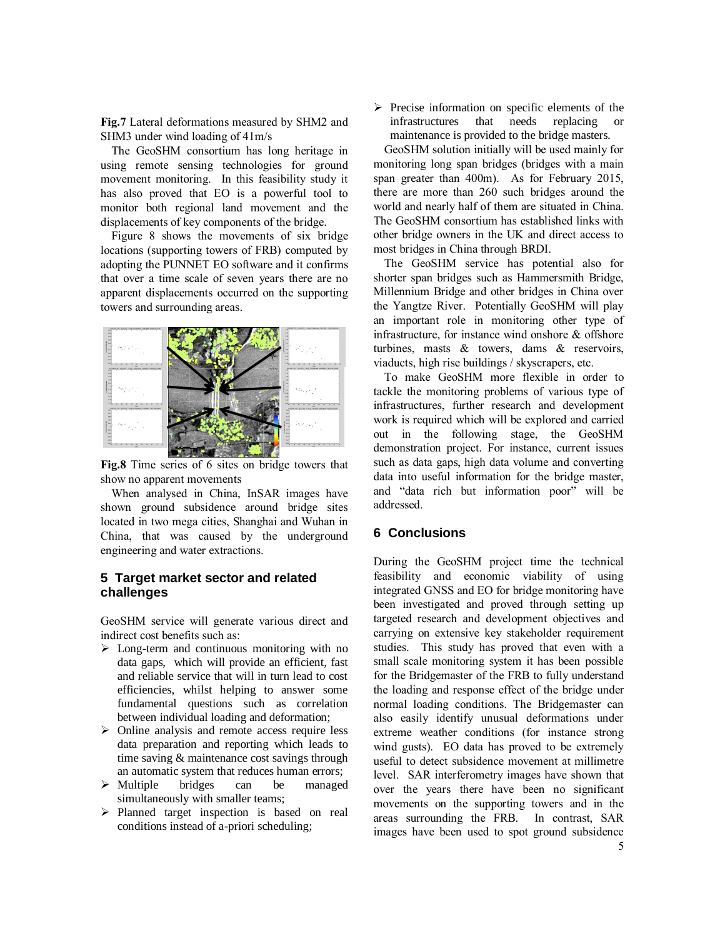**Fig.7** Lateral deformations measured by SHM2 and SHM3 under wind loading of 41m/s

The GeoSHM consortium has long heritage in using remote sensing technologies for ground movement monitoring. In this feasibility study it has also proved that EO is a powerful tool to monitor both regional land movement and the displacements of key components of the bridge.

Figure 8 shows the movements of six bridge locations (supporting towers of FRB) computed by adopting the PUNNET EO software and it confirms that over a time scale of seven years there are no apparent displacements occurred on the supporting towers and surrounding areas.



**Fig.8** Time series of 6 sites on bridge towers that show no apparent movements

When analysed in China, InSAR images have shown ground subsidence around bridge sites located in two mega cities, Shanghai and Wuhan in China, that was caused by the underground engineering and water extractions.

### **5 Target market sector and related challenges**

GeoSHM service will generate various direct and indirect cost benefits such as:

- $\triangleright$  Long-term and continuous monitoring with no data gaps, which will provide an efficient, fast and reliable service that will in turn lead to cost efficiencies, whilst helping to answer some fundamental questions such as correlation between individual loading and deformation;
- $\triangleright$  Online analysis and remote access require less data preparation and reporting which leads to time saving & maintenance cost savings through an automatic system that reduces human errors;
- $\triangleright$  Multiple bridges can be managed simultaneously with smaller teams;
- $\triangleright$  Planned target inspection is based on real conditions instead of a-priori scheduling;

 $\triangleright$  Precise information on specific elements of the infrastructures that needs replacing or maintenance is provided to the bridge masters.

GeoSHM solution initially will be used mainly for monitoring long span bridges (bridges with a main span greater than 400m). As for February 2015, there are more than 260 such bridges around the world and nearly half of them are situated in China. The GeoSHM consortium has established links with other bridge owners in the UK and direct access to most bridges in China through BRDI.

The GeoSHM service has potential also for shorter span bridges such as Hammersmith Bridge, Millennium Bridge and other bridges in China over the Yangtze River. Potentially GeoSHM will play an important role in monitoring other type of infrastructure, for instance wind onshore & offshore turbines, masts & towers, dams & reservoirs, viaducts, high rise buildings / skyscrapers, etc.

To make GeoSHM more flexible in order to tackle the monitoring problems of various type of infrastructures, further research and development work is required which will be explored and carried out in the following stage, the GeoSHM demonstration project. For instance, current issues such as data gaps, high data volume and converting data into useful information for the bridge master, and "data rich but information poor" will be addressed.

## **6 Conclusions**

During the GeoSHM project time the technical feasibility and economic viability of using integrated GNSS and EO for bridge monitoring have been investigated and proved through setting up targeted research and development objectives and carrying on extensive key stakeholder requirement studies. This study has proved that even with a small scale monitoring system it has been possible for the Bridgemaster of the FRB to fully understand the loading and response effect of the bridge under normal loading conditions. The Bridgemaster can also easily identify unusual deformations under extreme weather conditions (for instance strong wind gusts). EO data has proved to be extremely useful to detect subsidence movement at millimetre level. SAR interferometry images have shown that over the years there have been no significant movements on the supporting towers and in the areas surrounding the FRB. In contrast, SAR images have been used to spot ground subsidence